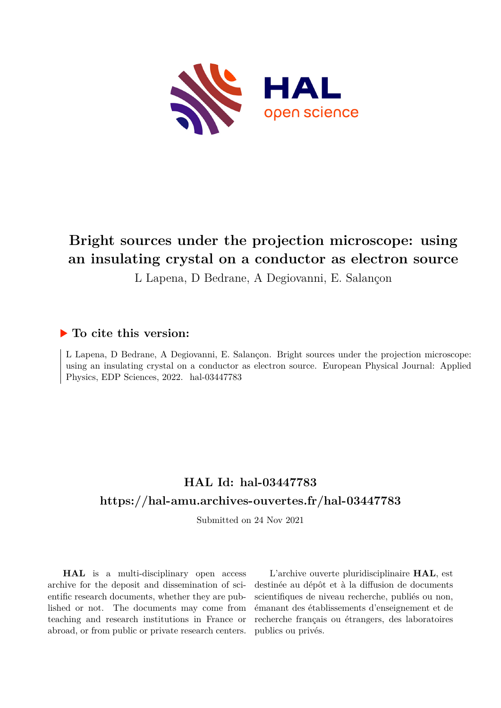

# **Bright sources under the projection microscope: using an insulating crystal on a conductor as electron source**

L Lapena, D Bedrane, A Degiovanni, E. Salançon

### **To cite this version:**

L Lapena, D Bedrane, A Degiovanni, E. Salançon. Bright sources under the projection microscope: using an insulating crystal on a conductor as electron source. European Physical Journal: Applied Physics, EDP Sciences, 2022. hal-03447783

## **HAL Id: hal-03447783 <https://hal-amu.archives-ouvertes.fr/hal-03447783>**

Submitted on 24 Nov 2021

**HAL** is a multi-disciplinary open access archive for the deposit and dissemination of scientific research documents, whether they are published or not. The documents may come from teaching and research institutions in France or abroad, or from public or private research centers.

L'archive ouverte pluridisciplinaire **HAL**, est destinée au dépôt et à la diffusion de documents scientifiques de niveau recherche, publiés ou non, émanant des établissements d'enseignement et de recherche français ou étrangers, des laboratoires publics ou privés.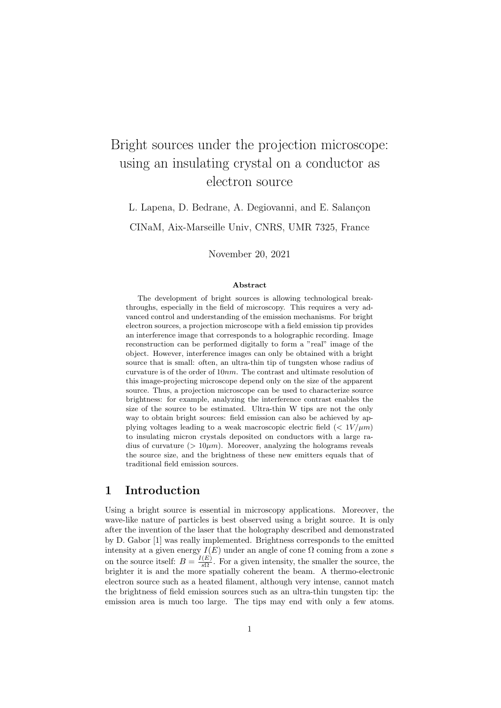# Bright sources under the projection microscope: using an insulating crystal on a conductor as electron source

L. Lapena, D. Bedrane, A. Degiovanni, and E. Salançon CINaM, Aix-Marseille Univ, CNRS, UMR 7325, France

November 20, 2021

#### Abstract

The development of bright sources is allowing technological breakthroughs, especially in the field of microscopy. This requires a very advanced control and understanding of the emission mechanisms. For bright electron sources, a projection microscope with a field emission tip provides an interference image that corresponds to a holographic recording. Image reconstruction can be performed digitally to form a "real" image of the object. However, interference images can only be obtained with a bright source that is small: often, an ultra-thin tip of tungsten whose radius of curvature is of the order of 10*nm*. The contrast and ultimate resolution of this image-projecting microscope depend only on the size of the apparent source. Thus, a projection microscope can be used to characterize source brightness: for example, analyzing the interference contrast enables the size of the source to be estimated. Ultra-thin W tips are not the only way to obtain bright sources: field emission can also be achieved by applying voltages leading to a weak macroscopic electric field  $\langle \langle 1V/\mu m \rangle$ to insulating micron crystals deposited on conductors with a large radius of curvature  $(> 10 \mu m)$ . Moreover, analyzing the holograms reveals the source size, and the brightness of these new emitters equals that of traditional field emission sources.

#### 1 Introduction

Using a bright source is essential in microscopy applications. Moreover, the wave-like nature of particles is best observed using a bright source. It is only after the invention of the laser that the holography described and demonstrated by D. Gabor [1] was really implemented. Brightness corresponds to the emitted intensity at a given energy  $I(E)$  under an angle of cone  $\Omega$  coming from a zone *s* on the source itself:  $B = \frac{I(E)}{s\Omega}$ . For a given intensity, the smaller the source, the brighter it is and the more spatially coherent the beam. A thermo-electronic electron source such as a heated filament, although very intense, cannot match the brightness of field emission sources such as an ultra-thin tungsten tip: the emission area is much too large. The tips may end with only a few atoms.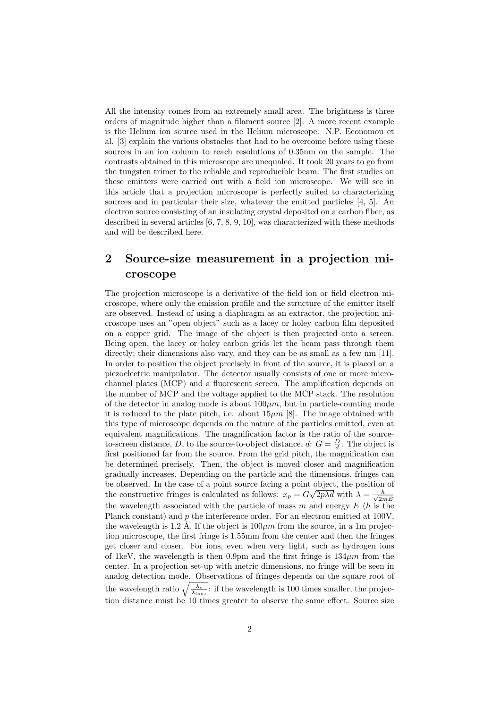All the intensity comes from an extremely small area. The brightness is three orders of magnitude higher than a filament source [2]. A more recent example is the Helium ion source used in the Helium microscope. N.P. Economou et al. [3] explain the various obstacles that had to be overcome before using these sources in an ion column to reach resolutions of 0.35nm on the sample. The contrasts obtained in this microscope are unequaled. It took 20 years to go from the tungsten trimer to the reliable and reproducible beam. The first studies on these emitters were carried out with a field ion microscope. We will see in this article that a projection microscope is perfectly suited to characterizing sources and in particular their size, whatever the emitted particles [4, 5]. An electron source consisting of an insulating crystal deposited on a carbon fiber, as described in several articles [6, 7, 8, 9, 10], was characterized with these methods and will be described here.

## 2 Source-size measurement in a projection microscope

The projection microscope is a derivative of the field ion or field electron microscope, where only the emission profile and the structure of the emitter itself are observed. Instead of using a diaphragm as an extractor, the projection microscope uses an "open object" such as a lacey or holey carbon film deposited on a copper grid. The image of the object is then projected onto a screen. Being open, the lacey or holey carbon grids let the beam pass through them directly; their dimensions also vary, and they can be as small as a few nm [11]. In order to position the object precisely in front of the source, it is placed on a piezoelectric manipulator. The detector usually consists of one or more microchannel plates (MCP) and a fluorescent screen. The amplification depends on the number of MCP and the voltage applied to the MCP stack. The resolution of the detector in analog mode is about  $100 \mu m$ , but in particle-counting mode it is reduced to the plate pitch, i.e. about  $15\mu m$  [8]. The image obtained with this type of microscope depends on the nature of the particles emitted, even at equivalent magnifications. The magnification factor is the ratio of the sourceto-screen distance, *D*, to the source-to-object distance, *d*:  $G = \frac{D}{d}$ . The object is first positioned far from the source. From the grid pitch, the magnification can be determined precisely. Then, the object is moved closer and magnification gradually increases. Depending on the particle and the dimensions, fringes can be observed. In the case of a point source facing a point object, the position of the constructive fringes is calculated as follows:  $x_p = G\sqrt{2p\lambda d}$  with  $\lambda = \frac{h}{\sqrt{2r}}$ 2*mE* the wavelength associated with the particle of mass *m* and energy *E* (*h* is the Planck constant) and p the interference order. For an electron emitted at 100V, the wavelength is 1.2 Å. If the object is  $100 \mu m$  from the source, in a 1m projection microscope, the first fringe is 1.55mm from the center and then the fringes get closer and closer. For ions, even when very light, such as hydrogen ions of 1keV, the wavelength is then 0.9pm and the first fringe is  $134 \mu m$  from the center. In a projection set-up with metric dimensions, no fringe will be seen in analog detection mode. Observations of fringes depends on the square root of the wavelength ratio  $\sqrt{\frac{\lambda_e}{\lambda_{ions}}}$ : if the wavelength is 100 times smaller, the projection distance must be 10 times greater to observe the same effect. Source size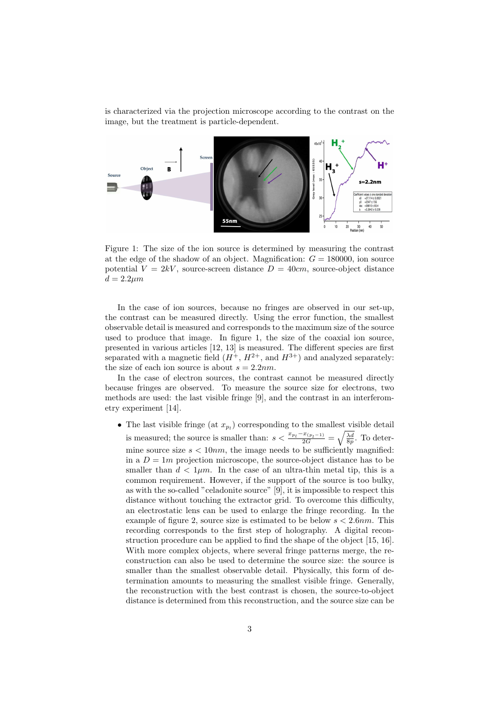is characterized via the projection microscope according to the contrast on the image, but the treatment is particle-dependent.



Figure 1: The size of the ion source is determined by measuring the contrast at the edge of the shadow of an object. Magnification:  $G = 180000$ , ion source potential  $V = 2kV$ , source-screen distance  $D = 40cm$ , source-object distance  $d = 2.2 \mu m$ 

In the case of ion sources, because no fringes are observed in our set-up, the contrast can be measured directly. Using the error function, the smallest observable detail is measured and corresponds to the maximum size of the source used to produce that image. In figure 1, the size of the coaxial ion source, presented in various articles  $[12, 13]$  is measured. The different species are first separated with a magnetic field  $(H^+, H^{2+}, \text{ and } H^{3+})$  and analyzed separately: the size of each ion source is about  $s = 2.2nm$ .

In the case of electron sources, the contrast cannot be measured directly because fringes are observed. To measure the source size for electrons, two methods are used: the last visible fringe [9], and the contrast in an interferometry experiment [14].

• The last visible fringe (at  $x_{p_l}$ ) corresponding to the smallest visible detail is measured; the source is smaller than:  $s < \frac{x_{p_l} - x_{(p_l-1)}}{2G} = \sqrt{\frac{\lambda d}{8p}}$ . To determine source size  $s < 10nm$ , the image needs to be sufficiently magnified: in a  $D = 1m$  projection microscope, the source-object distance has to be smaller than  $d < 1 \mu m$ . In the case of an ultra-thin metal tip, this is a common requirement. However, if the support of the source is too bulky, as with the so-called "celadonite source" [9], it is impossible to respect this distance without touching the extractor grid. To overcome this difficulty, an electrostatic lens can be used to enlarge the fringe recording. In the example of figure 2, source size is estimated to be below *s <* 2*.*6*nm*. This recording corresponds to the first step of holography. A digital reconstruction procedure can be applied to find the shape of the object [15, 16]. With more complex objects, where several fringe patterns merge, the reconstruction can also be used to determine the source size: the source is smaller than the smallest observable detail. Physically, this form of determination amounts to measuring the smallest visible fringe. Generally, the reconstruction with the best contrast is chosen, the source-to-object distance is determined from this reconstruction, and the source size can be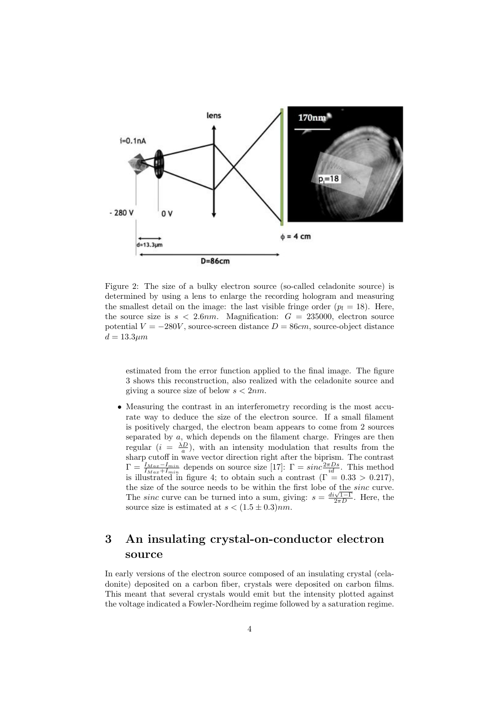

Figure 2: The size of a bulky electron source (so-called celadonite source) is determined by using a lens to enlarge the recording hologram and measuring the smallest detail on the image: the last visible fringe order  $(p_l = 18)$ . Here, the source size is  $s < 2.6nm$ . Magnification:  $G = 235000$ , electron source potential  $V = -280V$ , source-screen distance  $D = 86cm$ , source-object distance *d* = 13*.*3*µm*

estimated from the error function applied to the final image. The figure 3 shows this reconstruction, also realized with the celadonite source and giving a source size of below *s <* 2*nm*.

• Measuring the contrast in an interferometry recording is the most accurate way to deduce the size of the electron source. If a small filament is positively charged, the electron beam appears to come from 2 sources separated by *a*, which depends on the filament charge. Fringes are then regular  $(i = \frac{\lambda D}{a})$ , with an intensity modulation that results from the sharp cutoff in wave vector direction right after the biprism. The contrast  $\Gamma = \frac{I_{Max}-I_{min}}{I_{Max}+I_{min}}$  depends on source size [17]:  $\Gamma = sinc\frac{2\pi Ds}{id}$ . This method is illustrated in figure 4; to obtain such a contrast  $(\Gamma = 0.33 > 0.217)$ , the size of the source needs to be within the first lobe of the *sinc* curve.<br>The *sinc* curve can be turned into a sum, giving:  $s = \frac{di\sqrt{1-\Gamma}}{2\pi D}$ . Here, the source size is estimated at  $s < (1.5 \pm 0.3)nm$ .

## 3 An insulating crystal-on-conductor electron source

In early versions of the electron source composed of an insulating crystal (celadonite) deposited on a carbon fiber, crystals were deposited on carbon films. This meant that several crystals would emit but the intensity plotted against the voltage indicated a Fowler-Nordheim regime followed by a saturation regime.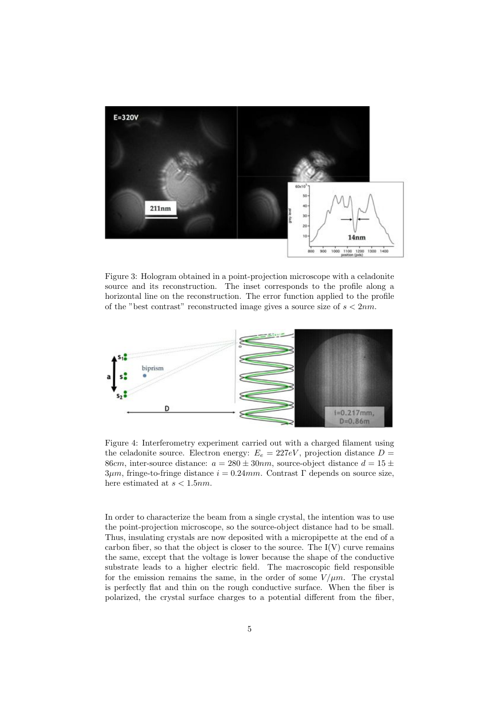

Figure 3: Hologram obtained in a point-projection microscope with a celadonite source and its reconstruction. The inset corresponds to the profile along a horizontal line on the reconstruction. The error function applied to the profile of the "best contrast" reconstructed image gives a source size of *s <* 2*nm*.



Figure 4: Interferometry experiment carried out with a charged filament using the celadonite source. Electron energy:  $E_e = 227eV$ , projection distance  $D =$ 86*cm*, inter-source distance:  $a = 280 \pm 30nm$ , source-object distance  $d = 15 \pm 10$  $3\mu$ m, fringe-to-fringe distance  $i = 0.24$ mm. Contrast  $\Gamma$  depends on source size, here estimated at *s <* 1*.*5*nm*.

In order to characterize the beam from a single crystal, the intention was to use the point-projection microscope, so the source-object distance had to be small. Thus, insulating crystals are now deposited with a micropipette at the end of a carbon fiber, so that the object is closer to the source. The  $I(V)$  curve remains the same, except that the voltage is lower because the shape of the conductive substrate leads to a higher electric field. The macroscopic field responsible for the emission remains the same, in the order of some  $V/\mu m$ . The crystal is perfectly flat and thin on the rough conductive surface. When the fiber is polarized, the crystal surface charges to a potential different from the fiber,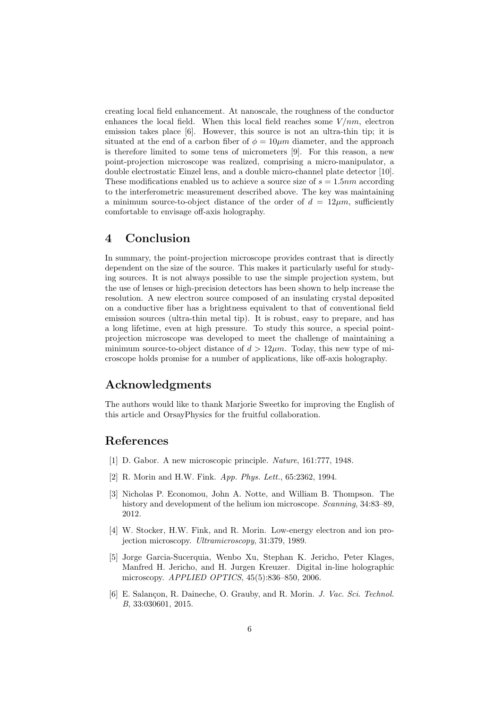creating local field enhancement. At nanoscale, the roughness of the conductor enhances the local field. When this local field reaches some  $V/nm$ , electron emission takes place [6]. However, this source is not an ultra-thin tip; it is situated at the end of a carbon fiber of  $\phi = 10 \mu m$  diameter, and the approach is therefore limited to some tens of micrometers [9]. For this reason, a new point-projection microscope was realized, comprising a micro-manipulator, a double electrostatic Einzel lens, and a double micro-channel plate detector [10]. These modifications enabled us to achieve a source size of *s* = 1*.*5*nm* according to the interferometric measurement described above. The key was maintaining a minimum source-to-object distance of the order of  $d = 12 \mu m$ , sufficiently comfortable to envisage off-axis holography.

#### 4 Conclusion

In summary, the point-projection microscope provides contrast that is directly dependent on the size of the source. This makes it particularly useful for studying sources. It is not always possible to use the simple projection system, but the use of lenses or high-precision detectors has been shown to help increase the resolution. A new electron source composed of an insulating crystal deposited on a conductive fiber has a brightness equivalent to that of conventional field emission sources (ultra-thin metal tip). It is robust, easy to prepare, and has a long lifetime, even at high pressure. To study this source, a special pointprojection microscope was developed to meet the challenge of maintaining a minimum source-to-object distance of  $d > 12 \mu m$ . Today, this new type of microscope holds promise for a number of applications, like off-axis holography.

#### Acknowledgments

The authors would like to thank Marjorie Sweetko for improving the English of this article and OrsayPhysics for the fruitful collaboration.

#### References

- [1] D. Gabor. A new microscopic principle. *Nature*, 161:777, 1948.
- [2] R. Morin and H.W. Fink. *App. Phys. Lett.*, 65:2362, 1994.
- [3] Nicholas P. Economou, John A. Notte, and William B. Thompson. The history and development of the helium ion microscope. *Scanning*, 34:83–89, 2012.
- [4] W. Stocker, H.W. Fink, and R. Morin. Low-energy electron and ion projection microscopy. *Ultramicroscopy*, 31:379, 1989.
- [5] Jorge Garcia-Sucerquia, Wenbo Xu, Stephan K. Jericho, Peter Klages, Manfred H. Jericho, and H. Jurgen Kreuzer. Digital in-line holographic microscopy. *APPLIED OPTICS*, 45(5):836–850, 2006.
- [6] E. Salançon, R. Daineche, O. Grauby, and R. Morin. *J. Vac. Sci. Technol. B*, 33:030601, 2015.